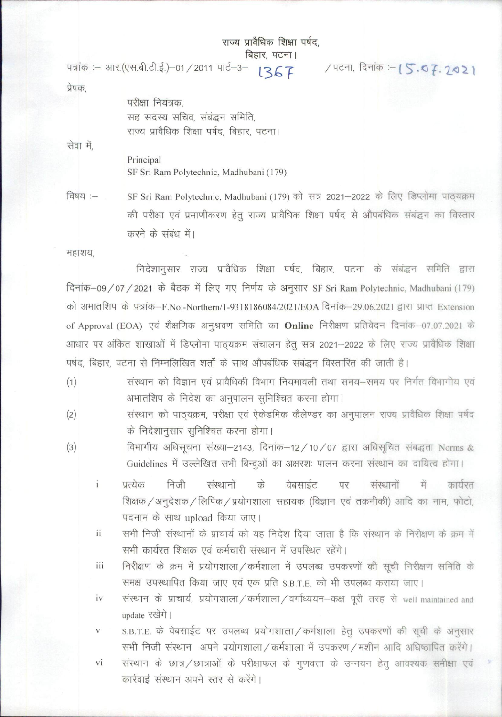राज्य प्रावैधिक शिक्षा पर्षद,

: बिहार, पटना।<br>| पत्रांक :– आर.(एस.बी.टी.ई.)–01/2011 पार्ट–3– । २६ में स्थान स्टिना, दिनांक :– (S. २२ - २०२

प्रेषक,

परीक्षा नियंत्रक, सह सदस्य सचिव, संबंद्धन समिति, राज्य प्रावैधिक शिक्षा पर्षद, बिहार, पटना।

सेवा में,

Principal SF Sri Ram Polytechnic, Madhubani (179)

विषय :- SF Sri Ram Polytechnic, Madhubani (179) को सत्र 2021–2022 के लिए डिप्लोमा पाठ्यक्रम की परीक्षा एवं प्रमाणीकरण हेतु राज्य प्रावैधिक शिक्षा पर्षद से औपबंधिक संबंद्धन का विस्तार करने के संबंध में।

महाशय,

निदेशानुसार राज्य प्रावैधिक शिक्षा पर्षद, बिहार, पटना के संबंद्धन समिति द्वारा दिनांक-09/07/2021 के बैठक में लिए गए निर्णय के अनुसार SF Sri Ram Polytechnic, Madhubani (179) को अभातशिप के पत्रांक-F.No.-Northern/1-9318186084/2021/EOA दिनांक-29.06.2021 द्वारा प्राप्त Extension of Approval (EOA) एवं शैक्षणिक अनुश्रवण समिति का **Online** निरीक्षण प्रतिवेदन दिनांक-07.07.2021 के आधार पर अंकित शाखाओं में डिप्लोमा पाठ्यक्रम संचालन हेतू सत्र 2021-2022 के लिए राज्य प्रावैधिक शिक्षा पर्षद, बिहार, पटना से निम्नलिखित शर्तों के साथ औपबंधिक संबद्धन विस्तारित की जाती है।

- (1) व्यांस्थान को विज्ञान एवं प्रावैधिकी विभाग नियमावली तथा समय-समय पर निर्गत विभागीय एवं अभातशिप के निदेश का अनुपालन सुनिश्चित करना होगा।
- (2) व्यास्थान को पाठ्यक्रम, परीक्षा एवं ऐकेडमिक कैलेण्डर का अनुपालन राज्य प्रावैधिक शिक्षा पर्षद  $\dot{\varphi}$  निदेशानुसार सुनिश्चित करना होगा।
- $(3)$  विभागीय अधिसूचना संख्या-2143, दिनांक-12/10/07 द्वारा अधिसूचित संबद्धता Norms & Guidelines में उल्लेखित सभी बिन्दुओं का अक्षरशः पालन करना संस्थान का दायित्व होगा।
	- i प्रत्येक निजी संस्थानों के वेबसाईट पर संस्थानों में कार्यरत शिक्षक / अनुदेशक / लिपिक / प्रयोगशाला सहायक (विज्ञान एवं तकनीकी) आदि का नाम, फोटो, पदनाम के साथ upload किया जाए।
	- ii सभी निजी संस्थानों के प्राचार्य को यह निदेश दिया जाता है कि संस्थान के निरीक्षण के क्रम में सभी कार्यरत शिक्षक एवं कर्मचारी संस्थान में उपस्थित रहेंगे।
	- iii निरीक्षण के क्रम में प्रयोगशाला / कर्मशाला में उपलब्ध उपकरणों की सूची निरीक्षण समिति के समक्ष उपस्थापित किया जाए एवं एक प्रति S.B.T.E. को भी उपलब्ध कराया जाए।
	- $iv$  संस्थान के प्राचार्य, प्रयोगशाला/कर्मशाला/वर्गाध्ययन-कक्ष पूरी तरह से well maintained and update रखेंगे।
	- v S.B.T.E. के वेबसाईट पर उपलब्ध प्रयोगशाला / कर्मशाला हेतू उपकरणों की सूची के अनुसार राभी निजी संस्थान अपने प्रयोगशाला/कर्मशाला में उपकरण/मशीन आदि अधिष्ठापित करेंगे।
	- vi संस्थान के छात्र/छात्राओं के परीक्षाफल के गुणवत्ता के उन्नयन हेतु आवश्यक समीक्षा एवं कार्रवाई संस्थान अपने स्तर से करेंगे।